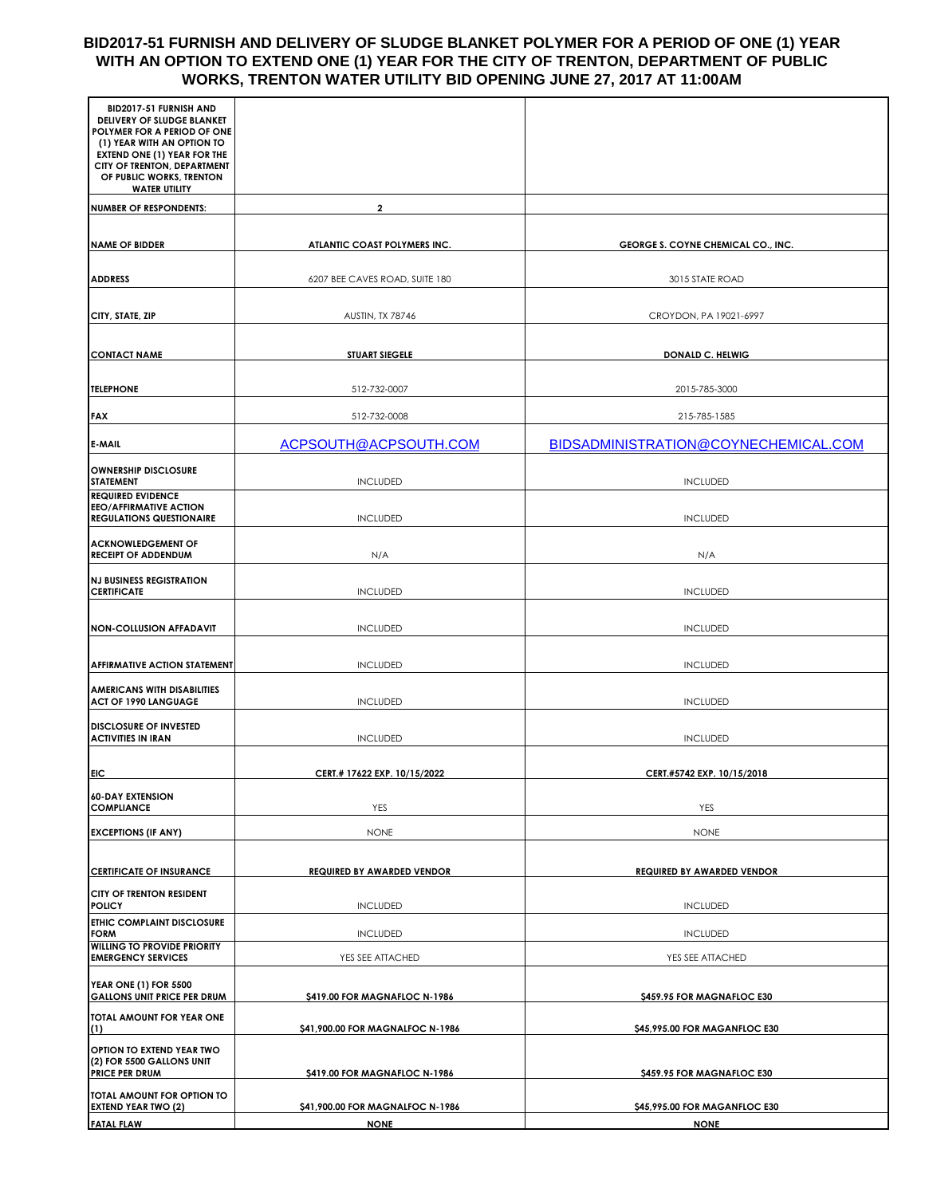#### **BID2017-51 FURNISH AND DELIVERY OF SLUDGE BLANKET POLYMER FOR A PERIOD OF ONE (1) YEAR WITH AN OPTION TO EXTEND ONE (1) YEAR FOR THE CITY OF TRENTON, DEPARTMENT OF PUBLIC WORKS, TRENTON WATER UTILITY BID OPENING JUNE 27, 2017 AT 11:00AM**

| BID2017-51 FURNISH AND<br>DELIVERY OF SLUDGE BLANKET<br>POLYMER FOR A PERIOD OF ONE<br>(1) YEAR WITH AN OPTION TO<br><b>EXTEND ONE (1) YEAR FOR THE</b><br>CITY OF TRENTON, DEPARTMENT<br>OF PUBLIC WORKS, TRENTON<br><b>WATER UTILITY</b> |                                   |                                           |  |
|--------------------------------------------------------------------------------------------------------------------------------------------------------------------------------------------------------------------------------------------|-----------------------------------|-------------------------------------------|--|
| <b>NUMBER OF RESPONDENTS:</b>                                                                                                                                                                                                              | $\overline{2}$                    |                                           |  |
| <b>NAME OF BIDDER</b>                                                                                                                                                                                                                      | ATLANTIC COAST POLYMERS INC.      | <b>GEORGE S. COYNE CHEMICAL CO., INC.</b> |  |
| <b>ADDRESS</b>                                                                                                                                                                                                                             | 6207 BEE CAVES ROAD, SUITE 180    | 3015 STATE ROAD                           |  |
| CITY, STATE, ZIP                                                                                                                                                                                                                           | AUSTIN, TX 78746                  | CROYDON, PA 19021-6997                    |  |
| <b>CONTACT NAME</b>                                                                                                                                                                                                                        | <b>STUART SIEGELE</b>             | <b>DONALD C. HELWIG</b>                   |  |
| <b>TELEPHONE</b>                                                                                                                                                                                                                           | 512-732-0007                      | 2015-785-3000                             |  |
| <b>FAX</b>                                                                                                                                                                                                                                 | 512-732-0008                      | 215-785-1585                              |  |
| <b>E-MAIL</b>                                                                                                                                                                                                                              | ACPSOUTH@ACPSOUTH.COM             | BIDSADMINISTRATION@COYNECHEMICAL.COM      |  |
| <b>OWNERSHIP DISCLOSURE</b><br><b>STATEMENT</b>                                                                                                                                                                                            | <b>INCLUDED</b>                   | <b>INCLUDED</b>                           |  |
| <b>REQUIRED EVIDENCE</b><br><b>EEO/AFFIRMATIVE ACTION</b><br><b>REGULATIONS QUESTIONAIRE</b>                                                                                                                                               | <b>INCLUDED</b>                   | <b>INCLUDED</b>                           |  |
| <b>ACKNOWLEDGEMENT OF</b><br><b>RECEIPT OF ADDENDUM</b>                                                                                                                                                                                    | N/A                               | N/A                                       |  |
| <b>NJ BUSINESS REGISTRATION</b><br><b>CERTIFICATE</b>                                                                                                                                                                                      | <b>INCLUDED</b>                   | <b>INCLUDED</b>                           |  |
| <b>NON-COLLUSION AFFADAVIT</b>                                                                                                                                                                                                             | <b>INCLUDED</b>                   | <b>INCLUDED</b>                           |  |
| <b>AFFIRMATIVE ACTION STATEMENT</b>                                                                                                                                                                                                        | <b>INCLUDED</b>                   | <b>INCLUDED</b>                           |  |
| <b>AMERICANS WITH DISABILITIES</b><br><b>ACT OF 1990 LANGUAGE</b>                                                                                                                                                                          | <b>INCLUDED</b>                   | <b>INCLUDED</b>                           |  |
| <b>DISCLOSURE OF INVESTED</b><br><b>ACTIVITIES IN IRAN</b>                                                                                                                                                                                 | <b>INCLUDED</b>                   | <b>INCLUDED</b>                           |  |
| <b>EIC</b>                                                                                                                                                                                                                                 | CERT.# 17622 EXP. 10/15/2022      | CERT.#5742 EXP. 10/15/2018                |  |
| <b>60-DAY EXTENSION</b><br><b>COMPLIANCE</b>                                                                                                                                                                                               | YES                               | YES                                       |  |
| <b>EXCEPTIONS (IF ANY)</b>                                                                                                                                                                                                                 | <b>NONE</b>                       | <b>NONE</b>                               |  |
| <b>CERTIFICATE OF INSURANCE</b>                                                                                                                                                                                                            | <b>REQUIRED BY AWARDED VENDOR</b> | <b>REQUIRED BY AWARDED VENDOR</b>         |  |
| CITY OF TRENTON RESIDENT<br><b>POLICY</b>                                                                                                                                                                                                  | <b>INCLUDED</b>                   | <b>INCLUDED</b>                           |  |
| ETHIC COMPLAINT DISCLOSURE<br><b>FORM</b>                                                                                                                                                                                                  | <b>INCLUDED</b>                   | <b>INCLUDED</b>                           |  |
| <b>WILLING TO PROVIDE PRIORITY</b><br><b>EMERGENCY SERVICES</b>                                                                                                                                                                            | YES SEE ATTACHED                  | YES SEE ATTACHED                          |  |
| <b>YEAR ONE (1) FOR 5500</b><br><b>GALLONS UNIT PRICE PER DRUM</b>                                                                                                                                                                         | \$419.00 FOR MAGNAFLOC N-1986     | \$459.95 FOR MAGNAFLOC E30                |  |
| TOTAL AMOUNT FOR YEAR ONE<br>(1)                                                                                                                                                                                                           | \$41,900.00 FOR MAGNALFOC N-1986  | \$45,995.00 FOR MAGANFLOC E30             |  |
| OPTION TO EXTEND YEAR TWO<br>(2) FOR 5500 GALLONS UNIT<br><b>PRICE PER DRUM</b>                                                                                                                                                            | \$419.00 FOR MAGNAFLOC N-1986     | \$459.95 FOR MAGNAFLOC E30                |  |
| TOTAL AMOUNT FOR OPTION TO<br><b>EXTEND YEAR TWO (2)</b>                                                                                                                                                                                   | \$41,900.00 FOR MAGNALFOC N-1986  | \$45,995.00 FOR MAGANFLOC E30             |  |
| <b>FATAL FLAW</b>                                                                                                                                                                                                                          | <b>NONE</b>                       | <b>NONE</b>                               |  |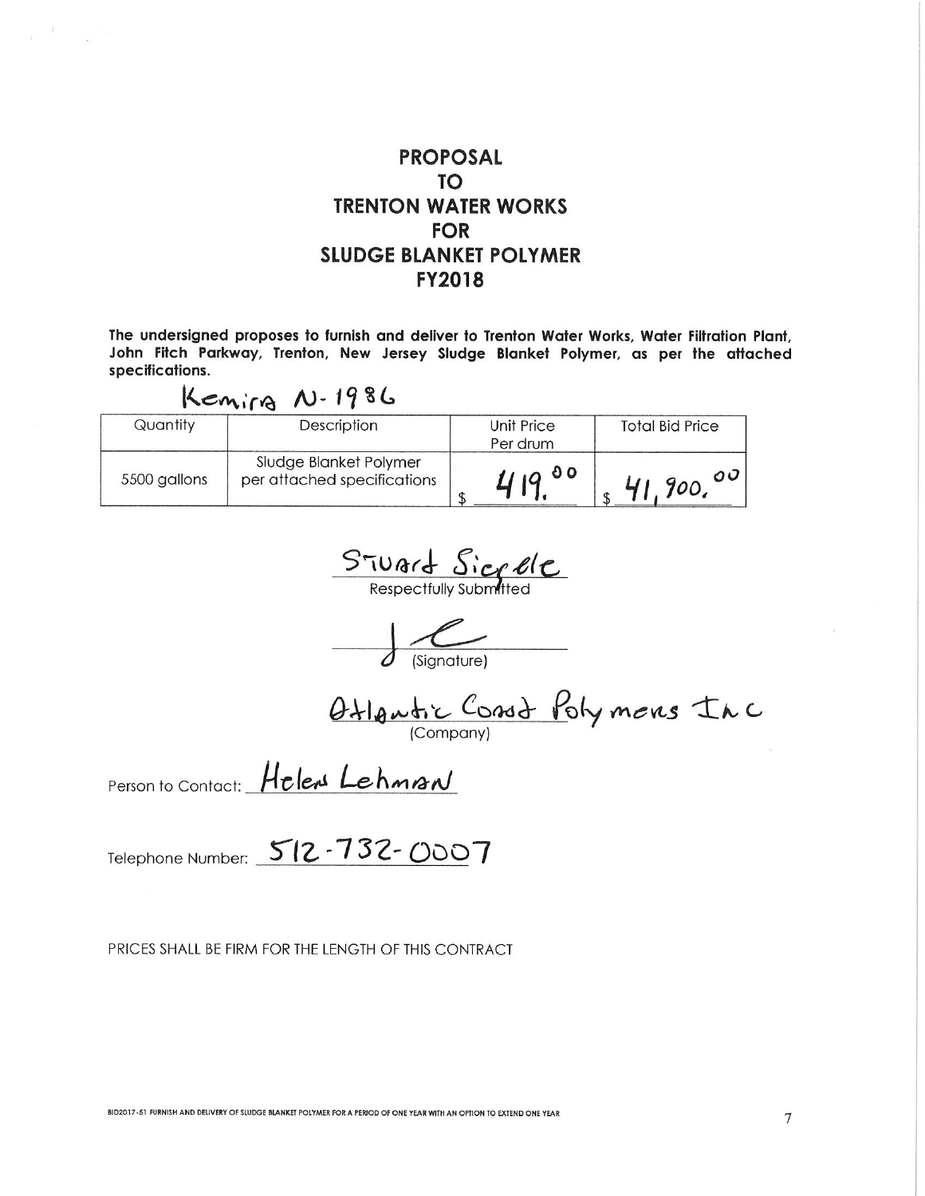## **PROPOSAL TO TRENTON WATER WORKS FOR SLUDGE BLANKET POLYMER FY2018**

The undersigned proposes to furnish and deliver to Trenton Water Works, Water Filtration Plant. John Fitch Parkway, Trenton, New Jersey Sludge Blanket Polymer, as per the attached specifications.

# Kenira N-1986

| Quantity     | Description                                           | Unit Price<br>Per drum | <b>Total Bid Price</b> |
|--------------|-------------------------------------------------------|------------------------|------------------------|
| 5500 gallons | Sludge Blanket Polymer<br>per attached specifications | 41900                  | 41,900,00              |

STUArt Sicrele

Otlantic Const Polymens Inc

Person to Contact: Helens Lehman

Telephone Number: 512-732-0007

PRICES SHALL BE FIRM FOR THE LENGTH OF THIS CONTRACT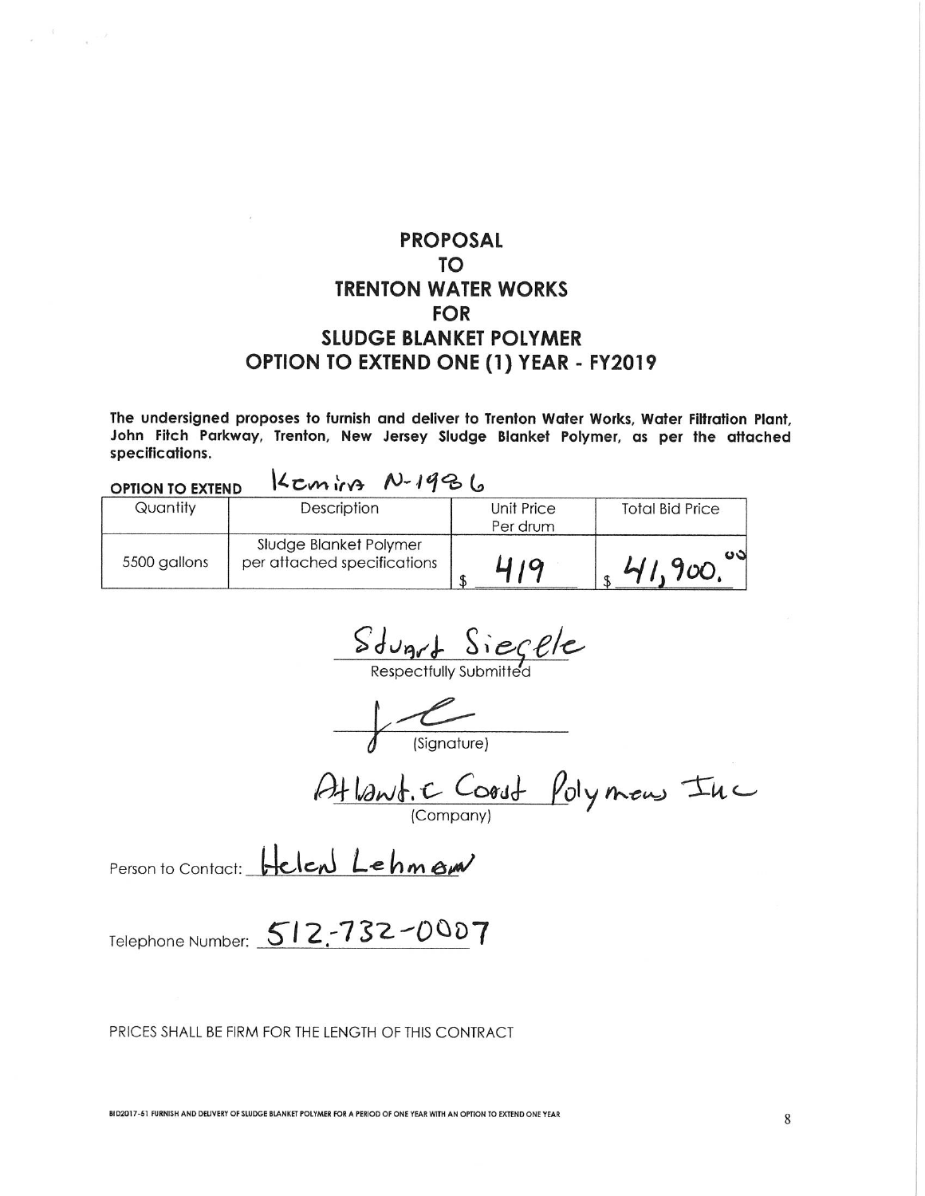# **PROPOSAL TO TRENTON WATER WORKS FOR SLUDGE BLANKET POLYMER** OPTION TO EXTEND ONE (1) YEAR - FY2019

The undersigned proposes to furnish and deliver to Trenton Water Works, Water Filtration Plant. John Fitch Parkway, Trenton, New Jersey Sludge Blanket Polymer, as per the attached specifications.

| Keming N-1986<br><b>OPTION TO EXTEND</b> |                                                       |                        |                        |
|------------------------------------------|-------------------------------------------------------|------------------------|------------------------|
| Quantity                                 | Description                                           | Unit Price<br>Per drum | <b>Total Bid Price</b> |
| 5500 gallons                             | Sludge Blanket Polymer<br>per attached specifications | 10                     | $\sim$<br>41,900       |

 $Sdy$   $Sieg$   $elec$ <br>Respectfully submitted

 $\leftarrow$   $\leftarrow$  (Signature)

Atlant. C Coost Polymens Inc

Person to Contact: Helen Lehman

Telephone Number: 512-732-0007

#### PRICES SHALL BE FIRM FOR THE LENGTH OF THIS CONTRACT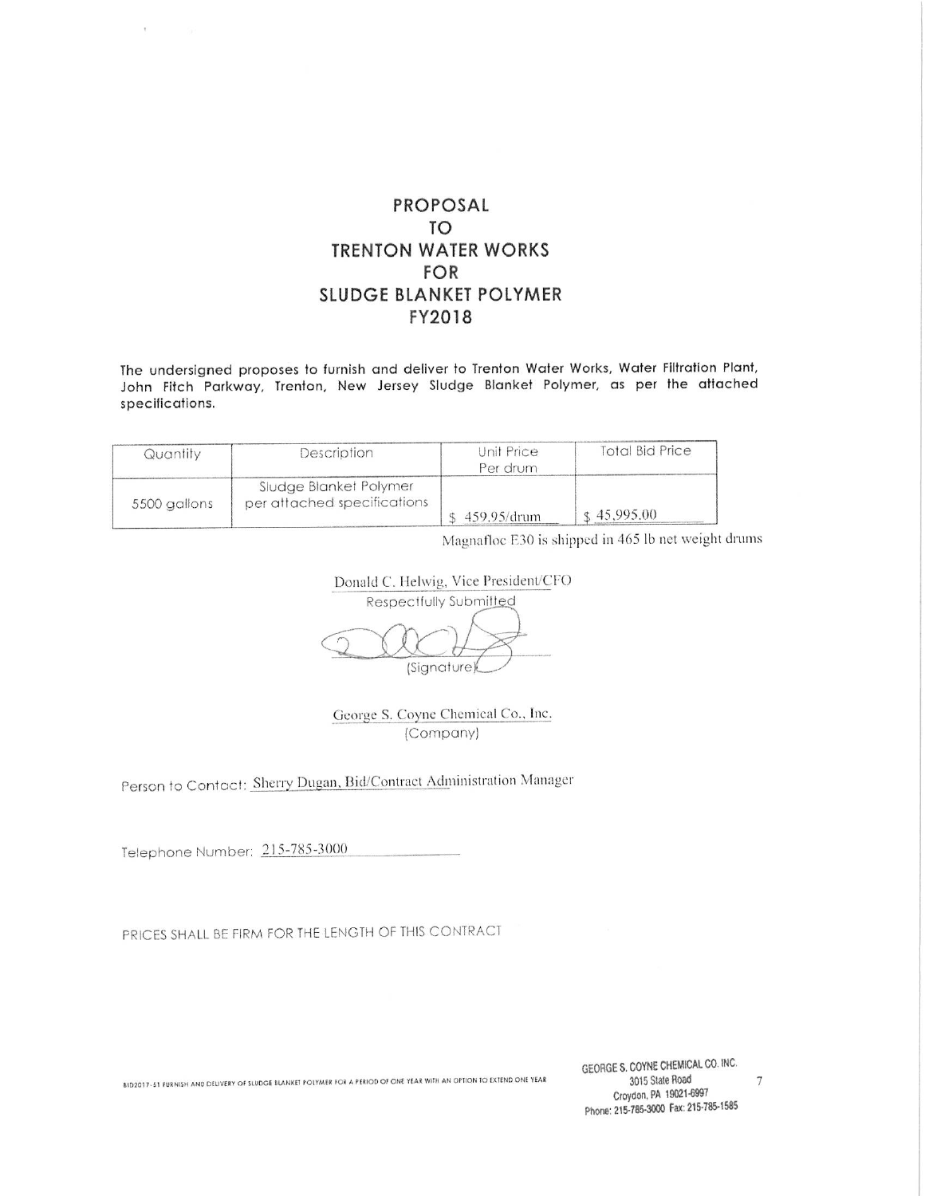### PROPOSAL **TO TRENTON WATER WORKS FOR** SLUDGE BLANKET POLYMER FY2018

The undersigned proposes to furnish and deliver to Trenton Water Works, Water Filtration Plant, John Fitch Parkway, Trenton, New Jersey Sludge Blanket Polymer, as per the attached specifications.

| Quantity     | Description                 | Unit Price     | <b>Total Bid Price</b> |
|--------------|-----------------------------|----------------|------------------------|
|              | Sludge Blanket Polymer      | Per drum       |                        |
| 5500 gallons | per attached specifications | ; 459.95/drum. | $\pm 45.995.00$        |

Magnafloc E30 is shipped in 465 lb net weight drums

Donald C. Helwig, Vice President/CFO Respectfully Submitted (Signature)

George S. Coyne Chemical Co., Inc. (Company)

Person to Contact: Sherry Dugan, Bid/Contract Administration Manager

Telephone Number: 215-785-3000

 $\mathbb{C}$ 

PRICES SHALL BE FIRM FOR THE LENGTH OF THIS CONTRACT

BID2017-51 FURNISH AND DELIVERY OF SLUDGE BLANKET FOLYMER FOR A PERIOD OF ONE YEAR WITH AN OPTION TO EXTEND ONE YEAR

GEORGE S. COYNE CHEMICAL CO. INC. 3015 State Road Croydon, PA 19021-6997 Phone: 215-785-3000 Fax: 215-785-1585

 $\boldsymbol{7}$